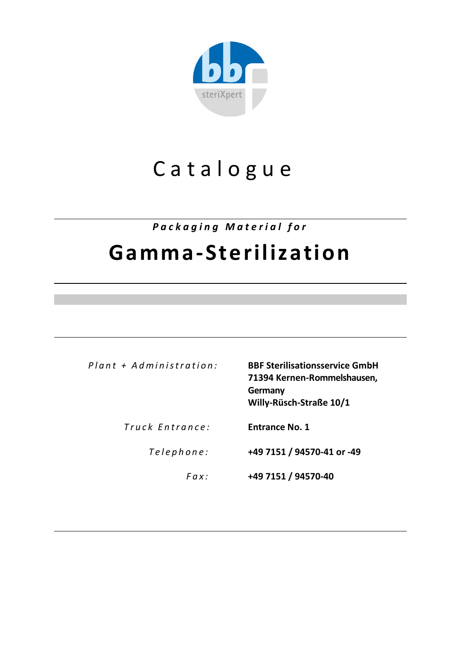

# C atalog u e

*Packaging Material for* 

## **Gamma-Sterilization**

*Plant + Administration :* **BBF Sterilisationsservice GmbH 71394 Kernen-Rommelshausen, Germany Willy-Rüsch-Straße 10/1**

*Truck Entrance :* **Entrance No. 1**

*Tele p h o n e :* **+49 7151 / 94570-41 or -49**

*F ax:* **+49 7151 / 94570-40**